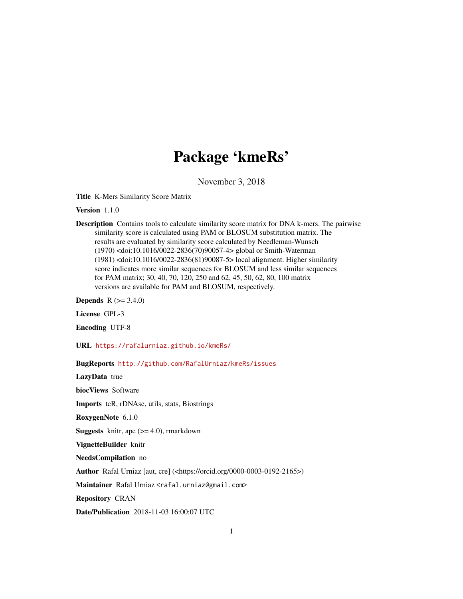# Package 'kmeRs'

November 3, 2018

Title K-Mers Similarity Score Matrix

Version 1.1.0

Description Contains tools to calculate similarity score matrix for DNA k-mers. The pairwise similarity score is calculated using PAM or BLOSUM substitution matrix. The results are evaluated by similarity score calculated by Needleman-Wunsch (1970) <doi:10.1016/0022-2836(70)90057-4> global or Smith-Waterman (1981) <doi:10.1016/0022-2836(81)90087-5> local alignment. Higher similarity score indicates more similar sequences for BLOSUM and less similar sequences for PAM matrix; 30, 40, 70, 120, 250 and 62, 45, 50, 62, 80, 100 matrix versions are available for PAM and BLOSUM, respectively.

**Depends**  $R (= 3.4.0)$ 

License GPL-3

Encoding UTF-8

URL <https://rafalurniaz.github.io/kmeRs/>

BugReports <http://github.com/RafalUrniaz/kmeRs/issues> LazyData true biocViews Software Imports tcR, rDNAse, utils, stats, Biostrings RoxygenNote 6.1.0 **Suggests** knitr, ape  $(>= 4.0)$ , rmarkdown VignetteBuilder knitr NeedsCompilation no Author Rafal Urniaz [aut, cre] (<https://orcid.org/0000-0003-0192-2165>) Maintainer Rafal Urniaz <rafal.urniaz@gmail.com> Repository CRAN Date/Publication 2018-11-03 16:00:07 UTC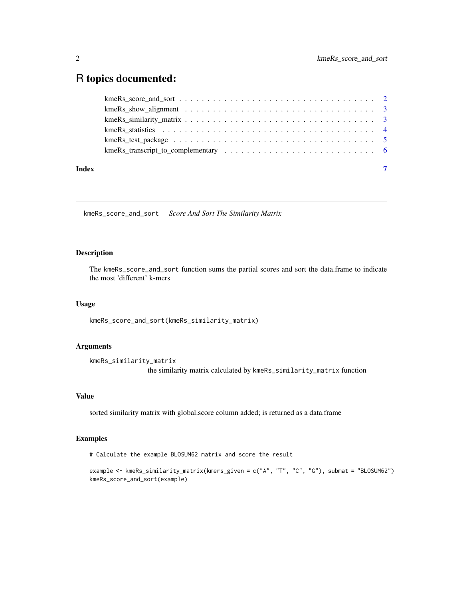# <span id="page-1-0"></span>R topics documented:

| Index |  |
|-------|--|

kmeRs\_score\_and\_sort *Score And Sort The Similarity Matrix*

# Description

The kmeRs\_score\_and\_sort function sums the partial scores and sort the data.frame to indicate the most 'different' k-mers

# Usage

kmeRs\_score\_and\_sort(kmeRs\_similarity\_matrix)

# Arguments

```
kmeRs_similarity_matrix
                 the similarity matrix calculated by kmeRs_similarity_matrix function
```
# Value

sorted similarity matrix with global.score column added; is returned as a data.frame

# Examples

# Calculate the example BLOSUM62 matrix and score the result

```
example <- kmeRs_similarity_matrix(kmers_given = c("A", "T", "C", "G"), submat = "BLOSUM62")
kmeRs_score_and_sort(example)
```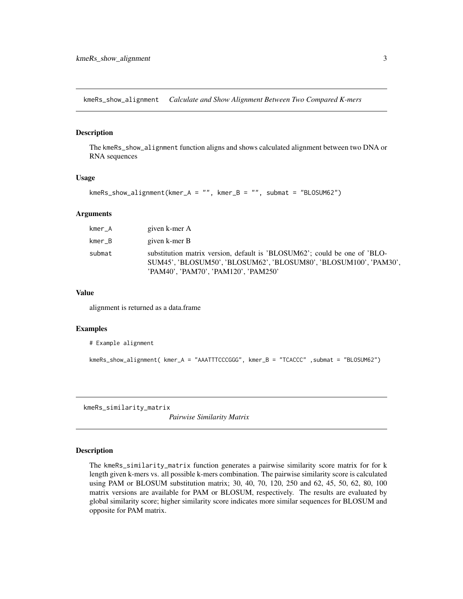<span id="page-2-0"></span>kmeRs\_show\_alignment *Calculate and Show Alignment Between Two Compared K-mers*

# Description

The kmeRs\_show\_alignment function aligns and shows calculated alignment between two DNA or RNA sequences

# Usage

```
kmRs_show_alignment(kmer_A = "", kmer_B = "", submat = "BLOSUM62")
```
#### Arguments

| kmer_A | given k-mer A                                                                                                                                                                          |
|--------|----------------------------------------------------------------------------------------------------------------------------------------------------------------------------------------|
| kmer B | given k-mer B                                                                                                                                                                          |
| submat | substitution matrix version, default is 'BLOSUM62'; could be one of 'BLO-<br>SUM45', 'BLOSUM50', 'BLOSUM62', 'BLOSUM80', 'BLOSUM100', 'PAM30',<br>'PAM40', 'PAM70', 'PAM120', 'PAM250' |

#### Value

alignment is returned as a data.frame

#### Examples

```
# Example alignment
```

```
kmeRs_show_alignment( kmer_A = "AAATTTCCCGGG", kmer_B = "TCACCC" , submat = "BLOSUM62")
```
kmeRs\_similarity\_matrix

*Pairwise Similarity Matrix*

#### Description

The kmeRs\_similarity\_matrix function generates a pairwise similarity score matrix for for k length given k-mers vs. all possible k-mers combination. The pairwise similarity score is calculated using PAM or BLOSUM substitution matrix; 30, 40, 70, 120, 250 and 62, 45, 50, 62, 80, 100 matrix versions are available for PAM or BLOSUM, respectively. The results are evaluated by global similarity score; higher similarity score indicates more similar sequences for BLOSUM and opposite for PAM matrix.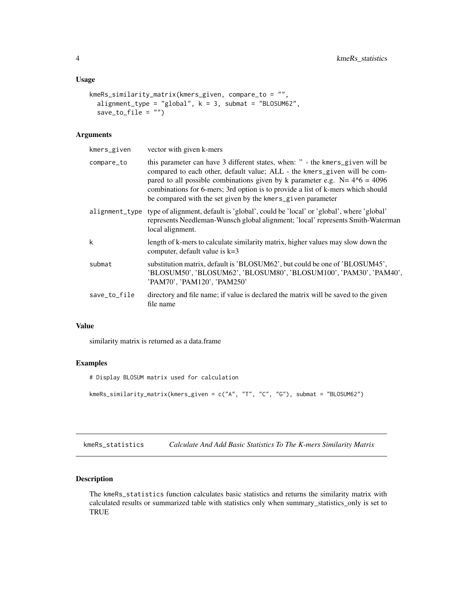#### <span id="page-3-0"></span>Usage

```
kmeRs_similarity_matrix(kmers_given, compare_to = "",
  alignment_type = "global", k = 3, submat = "BLOSUM62",save_to_file = "")
```
# Arguments

| this parameter can have 3 different states, when: " - the kmers_given will be<br>compare_to<br>compared to each other, default value; ALL - the kmers_given will be com-<br>pared to all possible combinations given by k parameter e.g. $N = 4^{6} = 4096$<br>combinations for 6-mers; 3rd option is to provide a list of k-mers which should<br>be compared with the set given by the kmers_given parameter<br>alignment_type type of alignment, default is 'global', could be 'local' or 'global', where 'global'<br>local alignment.<br>k<br>length of k-mers to calculate similarity matrix, higher values may slow down the<br>computer, default value is k=3<br>substitution matrix, default is 'BLOSUM62', but could be one of 'BLOSUM45',<br>submat<br>'PAM70', 'PAM120', 'PAM250'<br>directory and file name; if value is declared the matrix will be saved to the given<br>save_to_file<br>file name | kmers_given | vector with given k-mers                                                        |
|-----------------------------------------------------------------------------------------------------------------------------------------------------------------------------------------------------------------------------------------------------------------------------------------------------------------------------------------------------------------------------------------------------------------------------------------------------------------------------------------------------------------------------------------------------------------------------------------------------------------------------------------------------------------------------------------------------------------------------------------------------------------------------------------------------------------------------------------------------------------------------------------------------------------|-------------|---------------------------------------------------------------------------------|
|                                                                                                                                                                                                                                                                                                                                                                                                                                                                                                                                                                                                                                                                                                                                                                                                                                                                                                                 |             |                                                                                 |
|                                                                                                                                                                                                                                                                                                                                                                                                                                                                                                                                                                                                                                                                                                                                                                                                                                                                                                                 |             | represents Needleman-Wunsch global alignment; 'local' represents Smith-Waterman |
|                                                                                                                                                                                                                                                                                                                                                                                                                                                                                                                                                                                                                                                                                                                                                                                                                                                                                                                 |             |                                                                                 |
|                                                                                                                                                                                                                                                                                                                                                                                                                                                                                                                                                                                                                                                                                                                                                                                                                                                                                                                 |             | 'BLOSUM50', 'BLOSUM62', 'BLOSUM80', 'BLOSUM100', 'PAM30', 'PAM40',              |
|                                                                                                                                                                                                                                                                                                                                                                                                                                                                                                                                                                                                                                                                                                                                                                                                                                                                                                                 |             |                                                                                 |

# Value

similarity matrix is returned as a data.frame

# Examples

# Display BLOSUM matrix used for calculation

kmeRs\_similarity\_matrix(kmers\_given = c("A", "T", "C", "G"), submat = "BLOSUM62")

kmeRs\_statistics *Calculate And Add Basic Statistics To The K-mers Similarity Matrix*

# Description

The kmeRs\_statistics function calculates basic statistics and returns the similarity matrix with calculated results or summarized table with statistics only when summary\_statistics\_only is set to TRUE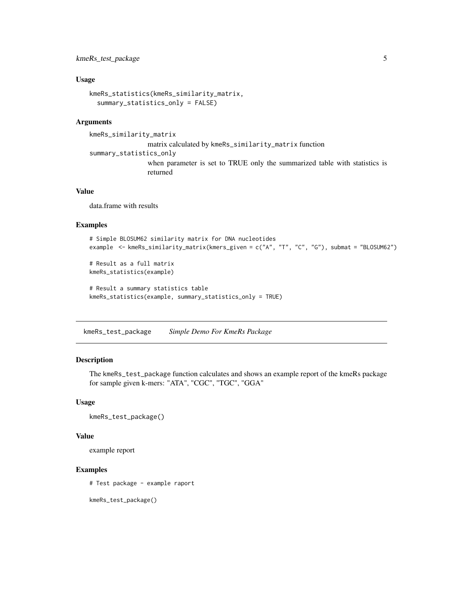# <span id="page-4-0"></span>kmeRs\_test\_package 5

#### Usage

```
kmeRs_statistics(kmeRs_similarity_matrix,
  summary_statistics_only = FALSE)
```
### Arguments

```
kmeRs_similarity_matrix
```
matrix calculated by kmeRs\_similarity\_matrix function summary\_statistics\_only when parameter is set to TRUE only the summarized table with statistics is returned

### Value

data.frame with results

#### Examples

```
# Simple BLOSUM62 similarity matrix for DNA nucleotides
example <- kmeRs_similarity_matrix(kmers_given = c("A", "T", "C", "G"), submat = "BLOSUM62")
# Result as a full matrix
```

```
kmeRs_statistics(example)
```

```
# Result a summary statistics table
kmeRs_statistics(example, summary_statistics_only = TRUE)
```
kmeRs\_test\_package *Simple Demo For KmeRs Package*

# Description

The kmeRs\_test\_package function calculates and shows an example report of the kmeRs package for sample given k-mers: "ATA", "CGC", "TGC", "GGA"

#### Usage

```
kmeRs_test_package()
```
#### Value

example report

# Examples

# Test package - example raport

kmeRs\_test\_package()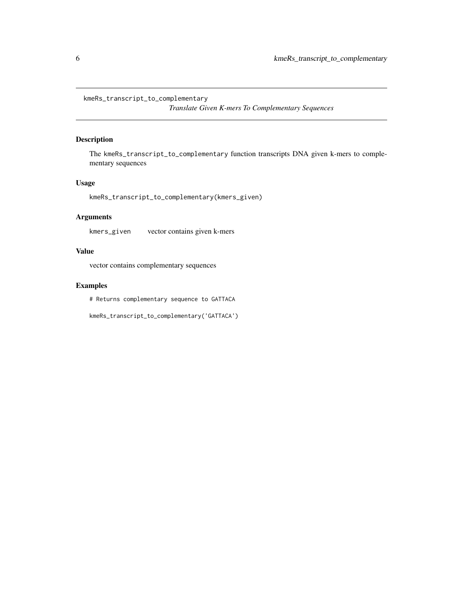<span id="page-5-0"></span>kmeRs\_transcript\_to\_complementary

*Translate Given K-mers To Complementary Sequences*

# Description

The kmeRs\_transcript\_to\_complementary function transcripts DNA given k-mers to complementary sequences

# Usage

kmeRs\_transcript\_to\_complementary(kmers\_given)

# Arguments

kmers\_given vector contains given k-mers

# Value

vector contains complementary sequences

# Examples

# Returns complementary sequence to GATTACA

kmeRs\_transcript\_to\_complementary('GATTACA')